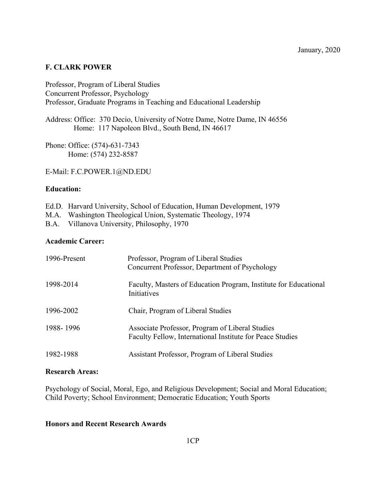# **F. CLARK POWER**

Professor, Program of Liberal Studies Concurrent Professor, Psychology Professor, Graduate Programs in Teaching and Educational Leadership

Address: Office: 370 Decio, University of Notre Dame, Notre Dame, IN 46556 Home: 117 Napoleon Blvd., South Bend, IN 46617

Phone: Office: (574)-631-7343 Home: (574) 232-8587

E-Mail: F.C.POWER.1@ND.EDU

### **Education:**

|  |  |  | Ed.D. Harvard University, School of Education, Human Development, 1979 |  |
|--|--|--|------------------------------------------------------------------------|--|
|  |  |  |                                                                        |  |

- M.A. Washington Theological Union, Systematic Theology, 1974
- B.A. Villanova University, Philosophy, 1970

#### **Academic Career:**

| 1996-Present | Professor, Program of Liberal Studies<br>Concurrent Professor, Department of Psychology                      |
|--------------|--------------------------------------------------------------------------------------------------------------|
| 1998-2014    | Faculty, Masters of Education Program, Institute for Educational<br>Initiatives                              |
| 1996-2002    | Chair, Program of Liberal Studies                                                                            |
| 1988-1996    | Associate Professor, Program of Liberal Studies<br>Faculty Fellow, International Institute for Peace Studies |
| 1982-1988    | Assistant Professor, Program of Liberal Studies                                                              |

## **Research Areas:**

Psychology of Social, Moral, Ego, and Religious Development; Social and Moral Education; Child Poverty; School Environment; Democratic Education; Youth Sports

#### **Honors and Recent Research Awards**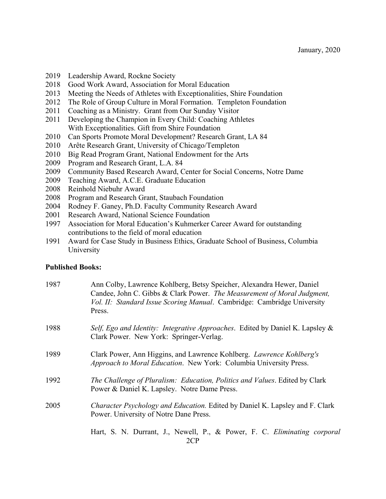- 2019 Leadership Award, Rockne Society
- 2018 Good Work Award, Association for Moral Education
- 2013 Meeting the Needs of Athletes with Exceptionalities, Shire Foundation
- 2012 The Role of Group Culture in Moral Formation. Templeton Foundation
- 2011 Coaching as a Ministry. Grant from Our Sunday Visitor
- 2011 Developing the Champion in Every Child: Coaching Athletes With Exceptionalities. Gift from Shire Foundation
- 2010 Can Sports Promote Moral Development? Research Grant, LA 84
- 2010 Arête Research Grant, University of Chicago/Templeton
- 2010 Big Read Program Grant, National Endowment for the Arts
- 2009 Program and Research Grant, L.A. 84
- 2009 Community Based Research Award, Center for Social Concerns, Notre Dame
- 2009 Teaching Award, A.C.E. Graduate Education
- 2008 Reinhold Niebuhr Award
- 2008 Program and Research Grant, Staubach Foundation
- 2004 Rodney F. Ganey, Ph.D. Faculty Community Research Award
- 2001 Research Award, National Science Foundation
- 1997 Association for Moral Education's Kuhmerker Career Award for outstanding contributions to the field of moral education
- 1991 Award for Case Study in Business Ethics, Graduate School of Business, Columbia University

### **Published Books:**

| 1987 | Ann Colby, Lawrence Kohlberg, Betsy Speicher, Alexandra Hewer, Daniel<br>Candee, John C. Gibbs & Clark Power. The Measurement of Moral Judgment,<br>Vol. II: Standard Issue Scoring Manual. Cambridge: Cambridge University<br>Press. |
|------|---------------------------------------------------------------------------------------------------------------------------------------------------------------------------------------------------------------------------------------|
| 1988 | Self, Ego and Identity: Integrative Approaches. Edited by Daniel K. Lapsley &<br>Clark Power. New York: Springer-Verlag.                                                                                                              |
| 1989 | Clark Power, Ann Higgins, and Lawrence Kohlberg. <i>Lawrence Kohlberg's</i><br>Approach to Moral Education. New York: Columbia University Press.                                                                                      |
| 1992 | The Challenge of Pluralism: Education, Politics and Values. Edited by Clark<br>Power & Daniel K. Lapsley. Notre Dame Press.                                                                                                           |
| 2005 | <i>Character Psychology and Education.</i> Edited by Daniel K. Lapsley and F. Clark<br>Power. University of Notre Dane Press.                                                                                                         |
|      | Hart, S. N. Durrant, J., Newell, P., & Power, F. C. Eliminating corporal<br>2CP                                                                                                                                                       |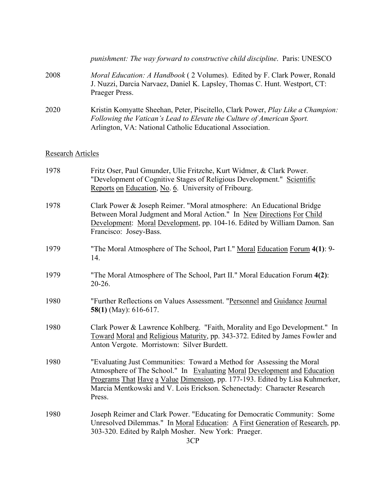|                          | punishment: The way forward to constructive child discipline. Paris: UNESCO                                                                                                                                                                                                                                            |
|--------------------------|------------------------------------------------------------------------------------------------------------------------------------------------------------------------------------------------------------------------------------------------------------------------------------------------------------------------|
| 2008                     | Moral Education: A Handbook (2 Volumes). Edited by F. Clark Power, Ronald<br>J. Nuzzi, Darcia Narvaez, Daniel K. Lapsley, Thomas C. Hunt. Westport, CT:<br>Praeger Press.                                                                                                                                              |
| 2020                     | Kristin Komyatte Sheehan, Peter, Piscitello, Clark Power, Play Like a Champion:<br>Following the Vatican's Lead to Elevate the Culture of American Sport.<br>Arlington, VA: National Catholic Educational Association.                                                                                                 |
| <b>Research Articles</b> |                                                                                                                                                                                                                                                                                                                        |
| 1978                     | Fritz Oser, Paul Gmunder, Ulie Fritzche, Kurt Widmer, & Clark Power.<br>"Development of Cognitive Stages of Religious Development." Scientific<br>Reports on Education, No. 6. University of Fribourg.                                                                                                                 |
| 1978                     | Clark Power & Joseph Reimer. "Moral atmosphere: An Educational Bridge<br>Between Moral Judgment and Moral Action." In New Directions For Child<br>Development: Moral Development, pp. 104-16. Edited by William Damon. San<br>Francisco: Josey-Bass.                                                                   |
| 1979                     | "The Moral Atmosphere of The School, Part I." Moral Education Forum 4(1): 9-<br>14.                                                                                                                                                                                                                                    |
| 1979                     | "The Moral Atmosphere of The School, Part II." Moral Education Forum 4(2):<br>20-26.                                                                                                                                                                                                                                   |
| 1980                     | "Further Reflections on Values Assessment. "Personnel and Guidance Journal<br>58(1) (May): $616-617$ .                                                                                                                                                                                                                 |
| 1980                     | Clark Power & Lawrence Kohlberg. "Faith, Morality and Ego Development." In<br>Toward Moral and Religious Maturity, pp. 343-372. Edited by James Fowler and<br>Anton Vergote. Morristown: Silver Burdett.                                                                                                               |
| 1980                     | "Evaluating Just Communities: Toward a Method for Assessing the Moral<br>Atmosphere of The School." In Evaluating Moral Development and Education<br>Programs That Have a Value Dimension, pp. 177-193. Edited by Lisa Kuhmerker,<br>Marcia Mentkowski and V. Lois Erickson. Schenectady: Character Research<br>Press. |
| 1980                     | Joseph Reimer and Clark Power. "Educating for Democratic Community: Some<br>Unresolved Dilemmas." In <u>Moral Education: A First Generation of Research</u> , pp.<br>303-320. Edited by Ralph Mosher. New York: Praeger.<br>3CP                                                                                        |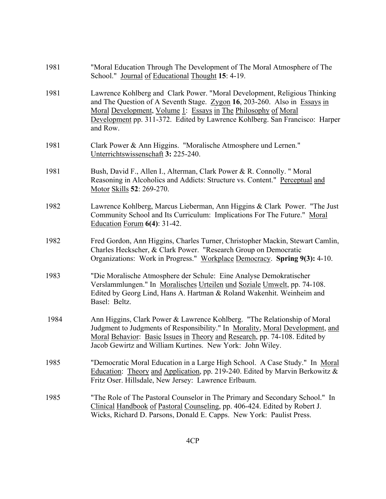| 1981 | "Moral Education Through The Development of The Moral Atmosphere of The<br>School." Journal of Educational Thought 15: 4-19.                                                                                                                                                                                        |
|------|---------------------------------------------------------------------------------------------------------------------------------------------------------------------------------------------------------------------------------------------------------------------------------------------------------------------|
| 1981 | Lawrence Kohlberg and Clark Power. "Moral Development, Religious Thinking<br>and The Question of A Seventh Stage. Zygon 16, 203-260. Also in Essays in<br>Moral Development, Volume 1: Essays in The Philosophy of Moral<br>Development pp. 311-372. Edited by Lawrence Kohlberg. San Francisco: Harper<br>and Row. |
| 1981 | Clark Power & Ann Higgins. "Moralische Atmosphere und Lernen."<br>Unterrichtswissenschaft 3: 225-240.                                                                                                                                                                                                               |
| 1981 | Bush, David F., Allen I., Alterman, Clark Power & R. Connolly. " Moral<br>Reasoning in Alcoholics and Addicts: Structure vs. Content." Perceptual and<br>Motor Skills 52: 269-270.                                                                                                                                  |
| 1982 | Lawrence Kohlberg, Marcus Lieberman, Ann Higgins & Clark Power. "The Just<br>Community School and Its Curriculum: Implications For The Future." Moral<br>Education Forum $6(4)$ : 31-42.                                                                                                                            |
| 1982 | Fred Gordon, Ann Higgins, Charles Turner, Christopher Mackin, Stewart Camlin,<br>Charles Heckscher, & Clark Power. "Research Group on Democratic<br>Organizations: Work in Progress." Workplace Democracy. Spring 9(3): 4-10.                                                                                       |
| 1983 | "Die Moralische Atmosphere der Schule: Eine Analyse Demokratischer<br>Verslammlungen." In Moralisches Urteilen und Soziale Umwelt, pp. 74-108.<br>Edited by Georg Lind, Hans A. Hartman & Roland Wakenhit. Weinheim and<br>Basel: Beltz.                                                                            |
| 1984 | Ann Higgins, Clark Power & Lawrence Kohlberg. "The Relationship of Moral<br>Judgment to Judgments of Responsibility." In Morality, Moral Development, and<br>Moral Behavior: Basic Issues in Theory and Research, pp. 74-108. Edited by<br>Jacob Gewirtz and William Kurtines. New York: John Wiley.                |
| 1985 | "Democratic Moral Education in a Large High School. A Case Study." In Moral<br>Education: Theory and Application, pp. 219-240. Edited by Marvin Berkowitz &<br>Fritz Oser. Hillsdale, New Jersey: Lawrence Erlbaum.                                                                                                 |
| 1985 | "The Role of The Pastoral Counselor in The Primary and Secondary School." In<br>Clinical Handbook of Pastoral Counseling, pp. 406-424. Edited by Robert J.<br>Wicks, Richard D. Parsons, Donald E. Capps. New York: Paulist Press.                                                                                  |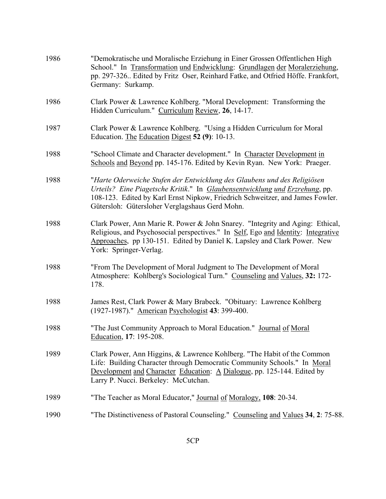| 1986 | "Demokratische und Moralische Erziehung in Einer Grossen Offentlichen High<br>School." In Transformation und Endwicklung: Grundlagen der Moralerziehung,<br>pp. 297-326 Edited by Fritz Oser, Reinhard Fatke, and Otfried Höffe. Frankfort,<br>Germany: Surkamp.                           |
|------|--------------------------------------------------------------------------------------------------------------------------------------------------------------------------------------------------------------------------------------------------------------------------------------------|
| 1986 | Clark Power & Lawrence Kohlberg. "Moral Development: Transforming the<br>Hidden Curriculum." Curriculum Review, 26, 14-17.                                                                                                                                                                 |
| 1987 | Clark Power & Lawrence Kohlberg. "Using a Hidden Curriculum for Moral<br>Education. The Education Digest 52 (9): 10-13.                                                                                                                                                                    |
| 1988 | "School Climate and Character development." In Character Development in<br>Schools and Beyond pp. 145-176. Edited by Kevin Ryan. New York: Praeger.                                                                                                                                        |
| 1988 | "Harte Oderweiche Stufen der Entwicklung des Glaubens und des Religiösen<br>Urteils? Eine Piagetsche Kritik." In Glaubensentwicklung und Erzrehung, pp.<br>108-123. Edited by Karl Ernst Nipkow, Friedrich Schweitzer, and James Fowler.<br>Gütersloh: Gütersloher Verglagshaus Gerd Mohn. |
| 1988 | Clark Power, Ann Marie R. Power & John Snarey. "Integrity and Aging: Ethical,<br>Religious, and Psychosocial perspectives." In Self, Ego and Identity: Integrative<br>Approaches, pp 130-151. Edited by Daniel K. Lapsley and Clark Power. New<br>York: Springer-Verlag.                   |
| 1988 | "From The Development of Moral Judgment to The Development of Moral<br>Atmosphere: Kohlberg's Sociological Turn." Counseling and Values, 32: 172-<br>178.                                                                                                                                  |
| 1988 | James Rest, Clark Power & Mary Brabeck. "Obituary: Lawrence Kohlberg<br>(1927-1987)." American Psychologist 43: 399-400.                                                                                                                                                                   |
| 1988 | "The Just Community Approach to Moral Education." Journal of Moral<br>Education, 17: 195-208.                                                                                                                                                                                              |
| 1989 | Clark Power, Ann Higgins, & Lawrence Kohlberg. "The Habit of the Common<br>Life: Building Character through Democratic Community Schools." In Moral<br>Development and Character Education: A Dialogue, pp. 125-144. Edited by<br>Larry P. Nucci. Berkeley: McCutchan.                     |
| 1989 | "The Teacher as Moral Educator," Journal of Moralogy, 108: 20-34.                                                                                                                                                                                                                          |
| 1990 | "The Distinctiveness of Pastoral Counseling." Counseling and Values 34, 2: 75-88.                                                                                                                                                                                                          |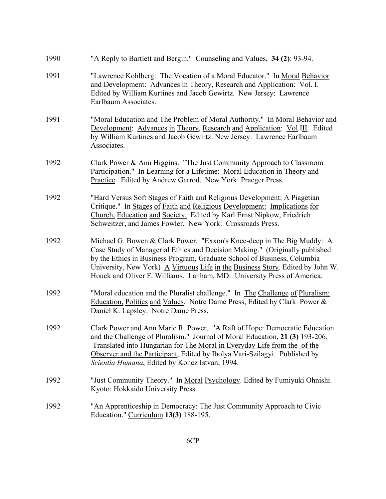| 1990 | "A Reply to Bartlett and Bergin." Counseling and Values, 34 (2): 93-94.                                                                                                                                                                                                                                                                                                                       |
|------|-----------------------------------------------------------------------------------------------------------------------------------------------------------------------------------------------------------------------------------------------------------------------------------------------------------------------------------------------------------------------------------------------|
| 1991 | "Lawrence Kohlberg: The Vocation of a Moral Educator." In Moral Behavior<br>and Development: Advances in Theory, Research and Application: Vol. I.<br>Edited by William Kurtines and Jacob Gewirtz. New Jersey: Lawrence<br>Earlbaum Associates.                                                                                                                                              |
| 1991 | "Moral Education and The Problem of Moral Authority." In Moral Behavior and<br>Development: Advances in Theory, Research and Application: Vol.III. Edited<br>by William Kurtines and Jacob Gewirtz. New Jersey: Lawrence Earlbaum<br>Associates.                                                                                                                                              |
| 1992 | Clark Power & Ann Higgins. "The Just Community Approach to Classroom<br>Participation." In Learning for a Lifetime: Moral Education in Theory and<br>Practice. Edited by Andrew Garrod. New York: Praeger Press.                                                                                                                                                                              |
| 1992 | "Hard Versus Soft Stages of Faith and Religious Development: A Piagetian<br>Critique." In Stages of Faith and Religious Development: Implications for<br>Church, Education and Society. Edited by Karl Ernst Nipkow, Friedrich<br>Schweitzer, and James Fowler. New York: Crossroads Press.                                                                                                   |
| 1992 | Michael G. Bowen & Clark Power. "Exxon's Knee-deep in The Big Muddy: A<br>Case Study of Managerial Ethics and Decision Making." (Originally published<br>by the Ethics in Business Program, Graduate School of Business, Columbia<br>University, New York) A Virtuous Life in the Business Story. Edited by John W.<br>Houck and Oliver F. Williams. Lanham, MD: University Press of America. |
| 1992 | "Moral education and the Pluralist challenge." In The Challenge of Pluralism:<br>Education, Politics and Values. Notre Dame Press, Edited by Clark Power &<br>Daniel K. Lapsley. Notre Dame Press.                                                                                                                                                                                            |
| 1992 | Clark Power and Ann Marie R. Power. "A Raft of Hope: Democratic Education<br>and the Challenge of Pluralism." Journal of Moral Education, 21 (3) 193-206.<br>Translated into Hungarian for The Moral in Everyday Life from the of the<br>Observer and the Participant, Edited by Ibolya Vari-Szilagyi. Published by<br>Scientia Humana, Edited by Koncz Istvan, 1994.                         |
| 1992 | "Just Community Theory." In Moral Psychology. Edited by Fumiyuki Ohnishi.<br>Kyoto: Hokkaido University Press.                                                                                                                                                                                                                                                                                |
| 1992 | "An Apprenticeship in Democracy: The Just Community Approach to Civic<br>Education." Curriculum 13(3) 188-195.                                                                                                                                                                                                                                                                                |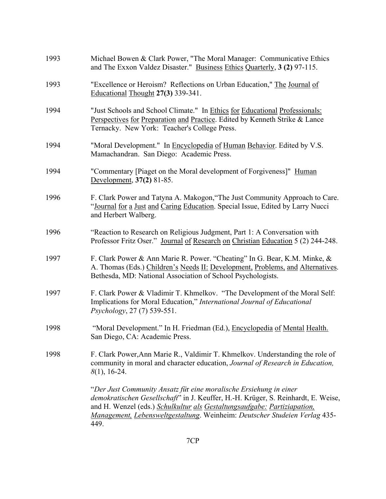| 1993 | Michael Bowen & Clark Power, "The Moral Manager: Communicative Ethics<br>and The Exxon Valdez Disaster." Business Ethics Quarterly, 3 (2) 97-115.                                                                                                                                                                        |
|------|--------------------------------------------------------------------------------------------------------------------------------------------------------------------------------------------------------------------------------------------------------------------------------------------------------------------------|
| 1993 | "Excellence or Heroism? Reflections on Urban Education," The Journal of<br>Educational Thought 27(3) 339-341.                                                                                                                                                                                                            |
| 1994 | "Just Schools and School Climate." In Ethics for Educational Professionals:<br>Perspectives for Preparation and Practice. Edited by Kenneth Strike & Lance<br>Ternacky. New York: Teacher's College Press.                                                                                                               |
| 1994 | "Moral Development." In Encyclopedia of Human Behavior. Edited by V.S.<br>Mamachandran. San Diego: Academic Press.                                                                                                                                                                                                       |
| 1994 | "Commentary [Piaget on the Moral development of Forgiveness]" Human<br>Development, 37(2) 81-85.                                                                                                                                                                                                                         |
| 1996 | F. Clark Power and Tatyna A. Makogon, "The Just Community Approach to Care.<br>"Journal for a Just and Caring Education. Special Issue, Edited by Larry Nucci<br>and Herbert Walberg.                                                                                                                                    |
| 1996 | "Reaction to Research on Religious Judgment, Part 1: A Conversation with<br>Professor Fritz Oser." Journal of Research on Christian Education 5 (2) 244-248.                                                                                                                                                             |
| 1997 | F. Clark Power & Ann Marie R. Power. "Cheating" In G. Bear, K.M. Minke, &<br>A. Thomas (Eds.) Children's Needs II: Development, Problems, and Alternatives.<br>Bethesda, MD: National Association of School Psychologists.                                                                                               |
| 1997 | F. Clark Power & Vladimir T. Khmelkov. "The Development of the Moral Self:<br>Implications for Moral Education," International Journal of Educational<br><i>Psychology</i> , 27 (7) 539-551.                                                                                                                             |
| 1998 | "Moral Development." In H. Friedman (Ed.), Encyclopedia of Mental Health.<br>San Diego, CA: Academic Press                                                                                                                                                                                                               |
| 1998 | F. Clark Power, Ann Marie R., Valdimir T. Khmelkov. Understanding the role of<br>community in moral and character education, Journal of Research in Education,<br>$8(1)$ , 16-24.                                                                                                                                        |
|      | "Der Just Community Ansatz für eine moralische Ersiehung in einer<br>demokratischen Gesellschaft" in J. Keuffer, H.-H. Krüger, S. Reinhardt, E. Weise,<br>and H. Wenzel (eds.) Schulkultur als Gestaltungsaufgabe: Partiziapation,<br>Management, Lebensweltgestaltung. Weinheim: Deutscher Studeien Verlag 435-<br>449. |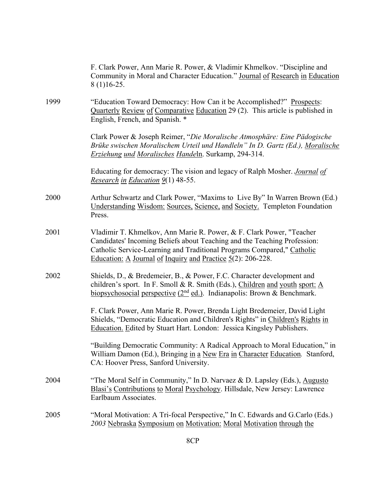|      | F. Clark Power, Ann Marie R. Power, & Vladimir Khmelkov. "Discipline and<br>Community in Moral and Character Education." Journal of Research in Education<br>$8(1)16-25.$                                                                                                                                     |
|------|---------------------------------------------------------------------------------------------------------------------------------------------------------------------------------------------------------------------------------------------------------------------------------------------------------------|
| 1999 | "Education Toward Democracy: How Can it be Accomplished?" Prospects:<br>Quarterly Review of Comparative Education 29 (2). This article is published in<br>English, French, and Spanish. *                                                                                                                     |
|      | Clark Power & Joseph Reimer, "Die Moralische Atmosphäre: Eine Pädogische<br>Brüke swischen Moralischem Urteil und Handleln" In D. Gartz (Ed.), Moralische<br><b>Erziehung und Moralisches Handeln. Surkamp, 294-314.</b>                                                                                      |
|      | Educating for democracy: The vision and legacy of Ralph Mosher. <i>Journal of</i><br>Research in Education 9(1) 48-55.                                                                                                                                                                                        |
| 2000 | Arthur Schwartz and Clark Power, "Maxims to Live By" In Warren Brown (Ed.)<br>Understanding Wisdom: Sources, Science, and Society. Templeton Foundation<br>Press.                                                                                                                                             |
| 2001 | Vladimir T. Khmelkov, Ann Marie R. Power, & F. Clark Power, "Teacher<br>Candidates' Incoming Beliefs about Teaching and the Teaching Profession:<br>Catholic Service-Learning and Traditional Programs Compared," Catholic<br><u>Education: A Journal of Inquiry and Practice <math>5(2)</math>: 206-228.</u> |
| 2002 | Shields, D., & Bredemeier, B., & Power, F.C. Character development and<br>children's sport. In F. Smoll & R. Smith (Eds.), Children and youth sport: A<br>biopsychosocial perspective $(2^{nd}$ ed.). Indianapolis: Brown & Benchmark.                                                                        |
|      | F. Clark Power, Ann Marie R. Power, Brenda Light Bredemeier, David Light<br>Shields, "Democratic Education and Children's Rights" in Children's Rights in<br>Education. Edited by Stuart Hart. London: Jessica Kingsley Publishers.                                                                           |
|      | "Building Democratic Community: A Radical Approach to Moral Education," in<br>William Damon (Ed.), Bringing in a New Era in Character Education. Stanford,<br>CA: Hoover Press, Sanford University.                                                                                                           |
| 2004 | "The Moral Self in Community," In D. Narvaez & D. Lapsley (Eds.), Augusto<br>Blasi's Contributions to Moral Psychology. Hillsdale, New Jersey: Lawrence<br>Earlbaum Associates.                                                                                                                               |
| 2005 | "Moral Motivation: A Tri-focal Perspective," In C. Edwards and G.Carlo (Eds.)<br>2003 Nebraska Symposium on Motivation: Moral Motivation through the                                                                                                                                                          |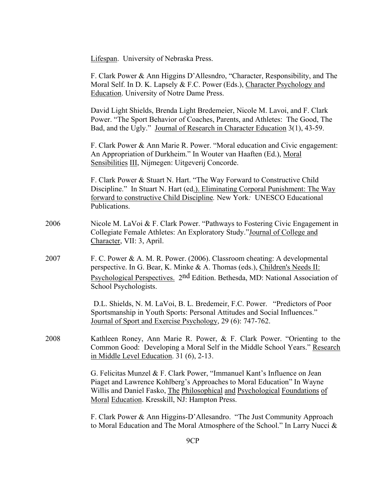Lifespan. University of Nebraska Press.

|      | F. Clark Power & Ann Higgins D'Allesndro, "Character, Responsibility, and The<br>Moral Self. In D. K. Lapsely & F.C. Power (Eds.), Character Psychology and<br><b>Education.</b> University of Notre Dame Press.                                                                    |
|------|-------------------------------------------------------------------------------------------------------------------------------------------------------------------------------------------------------------------------------------------------------------------------------------|
|      | David Light Shields, Brenda Light Bredemeier, Nicole M. Lavoi, and F. Clark<br>Power. "The Sport Behavior of Coaches, Parents, and Athletes: The Good, The<br>Bad, and the Ugly." Journal of Research in Character Education 3(1), 43-59.                                           |
|      | F. Clark Power & Ann Marie R. Power. "Moral education and Civic engagement:<br>An Appropriation of Durkheim." In Wouter van Haaften (Ed.), Moral<br>Sensibilities III, Nijmegen: Uitgeverij Concorde.                                                                               |
|      | F. Clark Power & Stuart N. Hart. "The Way Forward to Constructive Child<br>Discipline." In Stuart N. Hart (ed.). Eliminating Corporal Punishment: The Way<br>forward to constructive Child Discipline. New York: UNESCO Educational<br>Publications.                                |
| 2006 | Nicole M. LaVoi & F. Clark Power. "Pathways to Fostering Civic Engagement in<br>Collegiate Female Athletes: An Exploratory Study."Journal of College and<br>Character, VII: 3, April.                                                                                               |
| 2007 | F. C. Power & A. M. R. Power. (2006). Classroom cheating: A developmental<br>perspective. In G. Bear, K. Minke & A. Thomas (eds.), Children's Needs II:<br>Psychological Perspectives. 2nd Edition. Bethesda, MD: National Association of<br>School Psychologists.                  |
|      | D.L. Shields, N. M. LaVoi, B. L. Bredemeir, F.C. Power. "Predictors of Poor<br>Sportsmanship in Youth Sports: Personal Attitudes and Social Influences."<br>Journal of Sport and Exercise Psychology, 29 (6): 747-762.                                                              |
| 2008 | Kathleen Roney, Ann Marie R. Power, & F. Clark Power. "Orienting to the<br>Common Good: Developing a Moral Self in the Middle School Years." Research<br>in Middle Level Education. 31 (6), 2-13.                                                                                   |
|      | G. Felicitas Munzel & F. Clark Power, "Immanuel Kant's Influence on Jean<br>Piaget and Lawrence Kohlberg's Approaches to Moral Education" In Wayne<br>Willis and Daniel Fasko, The Philosophical and Psychological Foundations of<br>Moral Education. Kresskill, NJ: Hampton Press. |
|      | F. Clark Power & Ann Higgins-D'Allesandro. "The Just Community Approach<br>to Moral Education and The Moral Atmosphere of the School." In Larry Nucci &                                                                                                                             |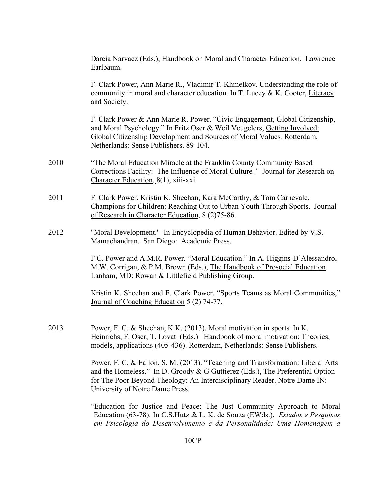|      | Darcia Narvaez (Eds.), Handbook on Moral and Character Education. Lawrence<br>Earlbaum.                                                                                                                                                                                          |
|------|----------------------------------------------------------------------------------------------------------------------------------------------------------------------------------------------------------------------------------------------------------------------------------|
|      | F. Clark Power, Ann Marie R., Vladimir T. Khmelkov. Understanding the role of<br>community in moral and character education. In T. Lucey & K. Cooter, Literacy<br>and Society.                                                                                                   |
|      | F. Clark Power & Ann Marie R. Power. "Civic Engagement, Global Citizenship,<br>and Moral Psychology." In Fritz Oser & Weil Veugelers, Getting Involved:<br>Global Citizenship Development and Sources of Moral Values. Rotterdam,<br>Netherlands: Sense Publishers. 89-104.      |
| 2010 | "The Moral Education Miracle at the Franklin County Community Based<br>Corrections Facility: The Influence of Moral Culture." Journal for Research on<br>Character Education. 8(1), xiii-xxi.                                                                                    |
| 2011 | F. Clark Power, Kristin K. Sheehan, Kara McCarthy, & Tom Carnevale,<br>Champions for Children: Reaching Out to Urban Youth Through Sports. Journal<br>of Research in Character Education, 8 (2)75-86.                                                                            |
| 2012 | "Moral Development." In Encyclopedia of Human Behavior. Edited by V.S.<br>Mamachandran. San Diego: Academic Press.                                                                                                                                                               |
|      | F.C. Power and A.M.R. Power. "Moral Education." In A. Higgins-D'Alessandro,<br>M.W. Corrigan, & P.M. Brown (Eds.), The Handbook of Prosocial Education.<br>Lanham, MD: Rowan & Littlefield Publishing Group.                                                                     |
|      | Kristin K. Sheehan and F. Clark Power, "Sports Teams as Moral Communities,"<br>Journal of Coaching Education 5 (2) 74-77.                                                                                                                                                        |
| 2013 | Power, F. C. & Sheehan, K.K. (2013). Moral motivation in sports. In K.<br>Heinrichs, F. Oser, T. Lovat (Eds.) Handbook of moral motivation: Theories,<br>models, applications (405-436). Rotterdam, Netherlands: Sense Publishers.                                               |
|      | Power, F. C. & Fallon, S. M. (2013). "Teaching and Transformation: Liberal Arts<br>and the Homeless." In D. Groody & G Guttierez (Eds.), The Preferential Option<br>for The Poor Beyond Theology: An Interdisciplinary Reader. Notre Dame IN:<br>University of Notre Dame Press. |
|      | "Education for Justice and Peace: The Just Community Approach to Moral<br>Education (63-78). In C.S.Hutz & L. K. de Souza (EWds.), <i>Estudos e Pesquisas</i><br>em Psicologia do Desenvolvimento e da Personalidade: Uma Homenagem a                                            |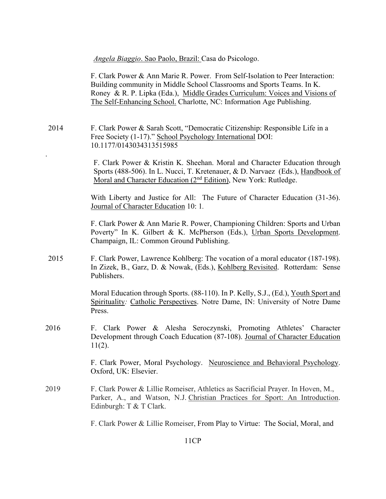*Angela Biaggio*. Sao Paolo, Brazil: Casa do Psicologo.

F. Clark Power & Ann Marie R. Power. From Self-Isolation to Peer Interaction: Building community in Middle School Classrooms and Sports Teams. In K. Roney & R. P. Lipka (Eda.), Middle Grades Curriculum: Voices and Visions of The Self-Enhancing School. Charlotte, NC: Information Age Publishing.

2014 F. Clark Power & Sarah Scott, "Democratic Citizenship: Responsible Life in a Free Society (1-17)." School Psychology International DOI: 10.1177/0143034313515985

.

F. Clark Power & Kristin K. Sheehan. Moral and Character Education through Sports (488-506). In L. Nucci, T. Kretenauer, & D. Narvaez (Eds.), Handbook of Moral and Character Education (2<sup>nd</sup> Edition), New York: Rutledge.

With Liberty and Justice for All: The Future of Character Education (31-36). Journal of Character Education 10: 1*.*

F. Clark Power & Ann Marie R. Power, Championing Children: Sports and Urban Poverty" In K. Gilbert & K. McPherson (Eds.), Urban Sports Development. Champaign, IL: Common Ground Publishing.

2015 F. Clark Power, Lawrence Kohlberg: The vocation of a moral educator (187-198). In Zizek, B., Garz, D. & Nowak, (Eds.), Kohlberg Revisited. Rotterdam: Sense Publishers.

> Moral Education through Sports. (88-110). In P. Kelly, S.J., (Ed.), Youth Sport and Spirituality*:* Catholic Perspectives. Notre Dame, IN: University of Notre Dame Press.

2016 F. Clark Power & Alesha Seroczynski, Promoting Athletes' Character Development through Coach Education (87-108). Journal of Character Education 11(2).

> F. Clark Power, Moral Psychology. Neuroscience and Behavioral Psychology. Oxford, UK: Elsevier.

2019 F. Clark Power & Lillie Romeiser, Athletics as Sacrificial Prayer. In Hoven, M., Parker, A., and Watson, N.J. Christian Practices for Sport: An Introduction. Edinburgh: T & T Clark.

F. Clark Power & Lillie Romeiser, From Play to Virtue: The Social, Moral, and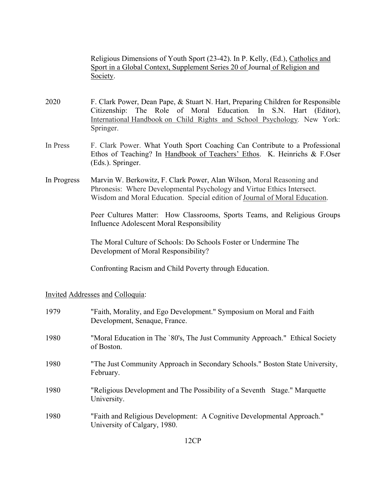Religious Dimensions of Youth Sport (23-42). In P. Kelly, (Ed.), Catholics and Sport in a Global Context, Supplement Series 20 of Journal of Religion and Society.

- 2020 F. Clark Power, Dean Pape, & Stuart N. Hart, Preparing Children for Responsible Citizenship: The Role of Moral Education*.* In S.N. Hart (Editor), International Handbook on Child Rights and School Psychology*.* New York: Springer.
- In Press F. Clark Power. What Youth Sport Coaching Can Contribute to a Professional Ethos of Teaching? In Handbook of Teachers' Ethos. K. Heinrichs & F.Oser (Eds.). Springer.
- In Progress Marvin W. Berkowitz, F. Clark Power, Alan Wilson, Moral Reasoning and Phronesis: Where Developmental Psychology and Virtue Ethics Intersect. Wisdom and Moral Education. Special edition of Journal of Moral Education.

Peer Cultures Matter: How Classrooms, Sports Teams, and Religious Groups Influence Adolescent Moral Responsibility

The Moral Culture of Schools: Do Schools Foster or Undermine The Development of Moral Responsibility?

Confronting Racism and Child Poverty through Education.

Invited Addresses and Colloquia:

| 1979 | "Faith, Morality, and Ego Development." Symposium on Moral and Faith<br>Development, Senaque, France.  |
|------|--------------------------------------------------------------------------------------------------------|
| 1980 | "Moral Education in The `80's, The Just Community Approach." Ethical Society<br>of Boston.             |
| 1980 | "The Just Community Approach in Secondary Schools." Boston State University,<br>February.              |
| 1980 | "Religious Development and The Possibility of a Seventh Stage." Marquette<br>University.               |
| 1980 | "Faith and Religious Development: A Cognitive Developmental Approach."<br>University of Calgary, 1980. |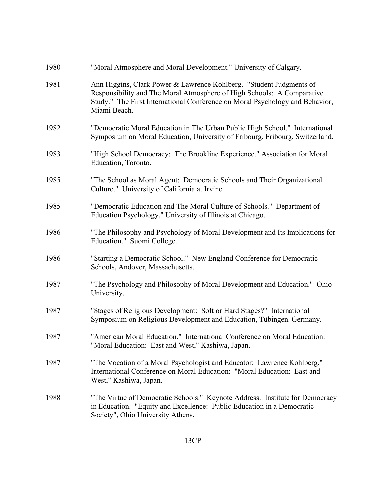| 1980 | "Moral Atmosphere and Moral Development." University of Calgary.                                                                                                                                                                              |
|------|-----------------------------------------------------------------------------------------------------------------------------------------------------------------------------------------------------------------------------------------------|
| 1981 | Ann Higgins, Clark Power & Lawrence Kohlberg. "Student Judgments of<br>Responsibility and The Moral Atmosphere of High Schools: A Comparative<br>Study." The First International Conference on Moral Psychology and Behavior,<br>Miami Beach. |
| 1982 | "Democratic Moral Education in The Urban Public High School." International<br>Symposium on Moral Education, University of Fribourg, Fribourg, Switzerland.                                                                                   |
| 1983 | "High School Democracy: The Brookline Experience." Association for Moral<br>Education, Toronto.                                                                                                                                               |
| 1985 | "The School as Moral Agent: Democratic Schools and Their Organizational<br>Culture." University of California at Irvine.                                                                                                                      |
| 1985 | "Democratic Education and The Moral Culture of Schools." Department of<br>Education Psychology," University of Illinois at Chicago.                                                                                                           |
| 1986 | "The Philosophy and Psychology of Moral Development and Its Implications for<br>Education." Suomi College.                                                                                                                                    |
| 1986 | "Starting a Democratic School." New England Conference for Democratic<br>Schools, Andover, Massachusetts.                                                                                                                                     |
| 1987 | "The Psychology and Philosophy of Moral Development and Education." Ohio<br>University.                                                                                                                                                       |
| 1987 | "Stages of Religious Development: Soft or Hard Stages?" International<br>Symposium on Religious Development and Education, Tübingen, Germany.                                                                                                 |
| 1987 | "American Moral Education." International Conference on Moral Education:<br>"Moral Education: East and West," Kashiwa, Japan.                                                                                                                 |
| 1987 | "The Vocation of a Moral Psychologist and Educator: Lawrence Kohlberg."<br>International Conference on Moral Education: "Moral Education: East and<br>West," Kashiwa, Japan.                                                                  |
| 1988 | "The Virtue of Democratic Schools." Keynote Address. Institute for Democracy<br>in Education. "Equity and Excellence: Public Education in a Democratic<br>Society", Ohio University Athens.                                                   |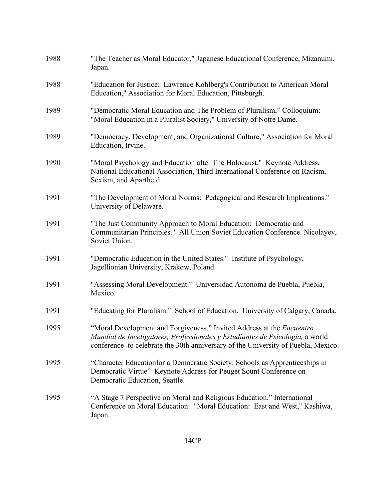| 1988 | "The Teacher as Moral Educator," Japanese Educational Conference, Mizanumi,<br>Japan.                                                                                                                                                       |
|------|---------------------------------------------------------------------------------------------------------------------------------------------------------------------------------------------------------------------------------------------|
| 1988 | "Education for Justice: Lawrence Kohlberg's Contribution to American Moral<br>Education," Association for Moral Education, Pittsburgh.                                                                                                      |
| 1989 | "Democratic Moral Education and The Problem of Pluralism," Colloquium:<br>"Moral Education in a Pluralist Society," University of Notre Dame.                                                                                               |
| 1989 | "Democracy, Development, and Organizational Culture," Association for Moral<br>Education, Irvine.                                                                                                                                           |
| 1990 | "Moral Psychology and Education after The Holocaust." Keynote Address,<br>National Educational Association, Third International Conference on Racism,<br>Sexism, and Apartheid.                                                             |
| 1991 | "The Development of Moral Norms: Pedagogical and Research Implications."<br>University of Delaware.                                                                                                                                         |
| 1991 | "The Just Community Approach to Moral Education: Democratic and<br>Communitarian Principles." All Union Soviet Education Conference. Nicolayev,<br>Soviet Union.                                                                            |
| 1991 | "Democratic Education in the United States." Institute of Psychology,<br>Jagellionian University, Krakow, Poland.                                                                                                                           |
| 1991 | "Assessing Moral Development." Universidad Autonoma de Puebla, Puebla,<br>Mexico.                                                                                                                                                           |
| 1991 | "Educating for Pluralism." School of Education. University of Calgary, Canada.                                                                                                                                                              |
| 1995 | "Moral Development and Forgiveness." Invited Address at the Encuentro<br>Mundial de Invetigatores, Professionales y Estudiantes de Psicologia, a world<br>conference to celebrate the 30th anniversary of the University of Puebla, Mexico. |
| 1995 | "Character Educationfor a Democratic Society: Schools as Apprenticeships in<br>Democratic Virtue" Keynote Address for Peuget Sount Conference on<br>Democratic Education, Seattle.                                                          |
| 1995 | "A Stage 7 Perspective on Moral and Religious Education." International<br>Conference on Moral Education: "Moral Education: East and West," Kashiwa,<br>Japan.                                                                              |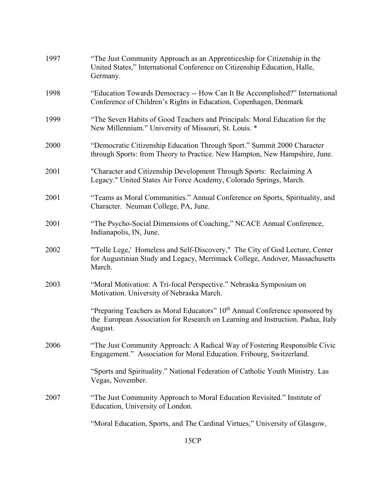| 1997 | "The Just Community Approach as an Apprenticeship for Citizenship in the<br>United States," International Conference on Citizenship Education, Halle,<br>Germany.           |
|------|-----------------------------------------------------------------------------------------------------------------------------------------------------------------------------|
| 1998 | "Education Towards Democracy -- How Can It Be Accomplished?" International<br>Conference of Children's Rights in Education, Copenhagen, Denmark                             |
| 1999 | "The Seven Habits of Good Teachers and Principals: Moral Education for the<br>New Millennium." University of Missouri, St. Louis. *                                         |
| 2000 | "Democratic Citizenship Education Through Sport." Summit 2000 Character<br>through Sports: from Theory to Practice. New Hampton, New Hampshire, June.                       |
| 2001 | "Character and Citizenship Development Through Sports: Reclaiming A<br>Legacy." United States Air Force Academy, Colorado Springs, March.                                   |
| 2001 | "Teams as Moral Communities." Annual Conference on Sports, Spirituality, and<br>Character. Neuman College, PA, June.                                                        |
| 2001 | "The Psycho-Social Dimensions of Coaching," NCACE Annual Conference,<br>Indianapolis, IN, June.                                                                             |
| 2002 | "Tolle Lege,' Homeless and Self-Discovery," The City of God Lecture, Center<br>for Augustinian Study and Legacy, Merrimack College, Andover, Massachusetts<br>March.        |
| 2003 | "Moral Motivation: A Tri-focal Perspective." Nebraska Symposium on<br>Motivation. University of Nebraska March.                                                             |
|      | "Preparing Teachers as Moral Educators" $10th$ Annual Conference sponsored by<br>the European Association for Research on Learning and Instruction. Padua, Italy<br>August. |
| 2006 | "The Just Community Approach: A Radical Way of Fostering Responsible Civic<br>Engagement." Association for Moral Education. Fribourg, Switzerland.                          |
|      | "Sports and Spirituality." National Federation of Catholic Youth Ministry. Las<br>Vegas, November.                                                                          |
| 2007 | "The Just Community Approach to Moral Education Revisited." Institute of<br>Education, University of London.                                                                |
|      | "Moral Education, Sports, and The Cardinal Virtues," University of Glasgow,                                                                                                 |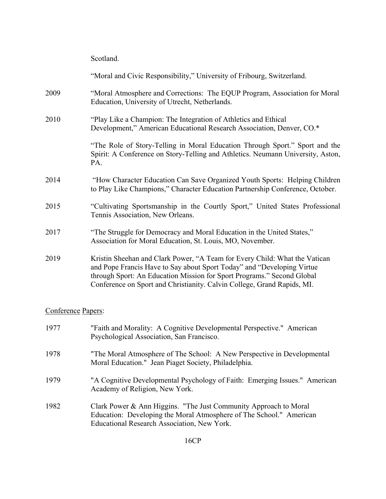|                    | Scotland.                                                                                                                                                                                                                                                                                                 |
|--------------------|-----------------------------------------------------------------------------------------------------------------------------------------------------------------------------------------------------------------------------------------------------------------------------------------------------------|
|                    | "Moral and Civic Responsibility," University of Fribourg, Switzerland.                                                                                                                                                                                                                                    |
| 2009               | "Moral Atmosphere and Corrections: The EQUP Program, Association for Moral<br>Education, University of Utrecht, Netherlands.                                                                                                                                                                              |
| 2010               | "Play Like a Champion: The Integration of Athletics and Ethical<br>Development," American Educational Research Association, Denver, CO.*                                                                                                                                                                  |
|                    | "The Role of Story-Telling in Moral Education Through Sport." Sport and the<br>Spirit: A Conference on Story-Telling and Athletics. Neumann University, Aston,<br>PA.                                                                                                                                     |
| 2014               | "How Character Education Can Save Organized Youth Sports: Helping Children<br>to Play Like Champions," Character Education Partnership Conference, October.                                                                                                                                               |
| 2015               | "Cultivating Sportsmanship in the Courtly Sport," United States Professional<br>Tennis Association, New Orleans.                                                                                                                                                                                          |
| 2017               | "The Struggle for Democracy and Moral Education in the United States,"<br>Association for Moral Education, St. Louis, MO, November.                                                                                                                                                                       |
| 2019               | Kristin Sheehan and Clark Power, "A Team for Every Child: What the Vatican<br>and Pope Francis Have to Say about Sport Today" and "Developing Virtue<br>through Sport: An Education Mission for Sport Programs." Second Global<br>Conference on Sport and Christianity. Calvin College, Grand Rapids, MI. |
| Conference Papers: |                                                                                                                                                                                                                                                                                                           |
| 1977               | "Faith and Morality: A Cognitive Developmental Perspective." American<br>Psychological Association, San Francisco.                                                                                                                                                                                        |
| 1978               | "The Moral Atmosphere of The School: A New Perspective in Developmental<br>Moral Education." Jean Piaget Society, Philadelphia.                                                                                                                                                                           |
| 1979               | "A Cognitive Developmental Psychology of Faith: Emerging Issues." American<br>Academy of Religion, New York.                                                                                                                                                                                              |
| 1982               | Clark Power & Ann Higgins. "The Just Community Approach to Moral<br>Education: Developing the Moral Atmosphere of The School." American<br>Educational Research Association, New York.                                                                                                                    |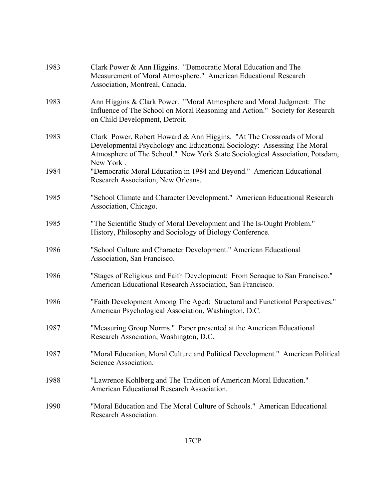| 1983 | Clark Power & Ann Higgins. "Democratic Moral Education and The<br>Measurement of Moral Atmosphere." American Educational Research<br>Association, Montreal, Canada.                                                                           |
|------|-----------------------------------------------------------------------------------------------------------------------------------------------------------------------------------------------------------------------------------------------|
| 1983 | Ann Higgins & Clark Power. "Moral Atmosphere and Moral Judgment: The<br>Influence of The School on Moral Reasoning and Action." Society for Research<br>on Child Development, Detroit.                                                        |
| 1983 | Clark Power, Robert Howard & Ann Higgins. "At The Crossroads of Moral<br>Developmental Psychology and Educational Sociology: Assessing The Moral<br>Atmosphere of The School." New York State Sociological Association, Potsdam,<br>New York. |
| 1984 | "Democratic Moral Education in 1984 and Beyond." American Educational<br>Research Association, New Orleans.                                                                                                                                   |
| 1985 | "School Climate and Character Development." American Educational Research<br>Association, Chicago.                                                                                                                                            |
| 1985 | "The Scientific Study of Moral Development and The Is-Ought Problem."<br>History, Philosophy and Sociology of Biology Conference.                                                                                                             |
| 1986 | "School Culture and Character Development." American Educational<br>Association, San Francisco.                                                                                                                                               |
| 1986 | "Stages of Religious and Faith Development: From Senaque to San Francisco."<br>American Educational Research Association, San Francisco.                                                                                                      |
| 1986 | "Faith Development Among The Aged: Structural and Functional Perspectives."<br>American Psychological Association, Washington, D.C.                                                                                                           |
| 1987 | "Measuring Group Norms." Paper presented at the American Educational<br>Research Association, Washington, D.C.                                                                                                                                |
| 1987 | "Moral Education, Moral Culture and Political Development." American Political<br>Science Association.                                                                                                                                        |
| 1988 | "Lawrence Kohlberg and The Tradition of American Moral Education."<br>American Educational Research Association.                                                                                                                              |
| 1990 | "Moral Education and The Moral Culture of Schools." American Educational<br>Research Association.                                                                                                                                             |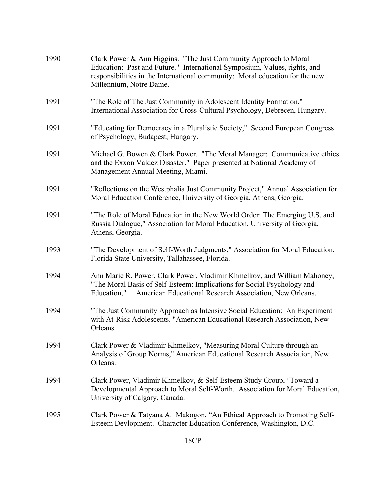| 1990 | Clark Power & Ann Higgins. "The Just Community Approach to Moral<br>Education: Past and Future." International Symposium, Values, rights, and<br>responsibilities in the International community: Moral education for the new<br>Millennium, Notre Dame. |
|------|----------------------------------------------------------------------------------------------------------------------------------------------------------------------------------------------------------------------------------------------------------|
| 1991 | "The Role of The Just Community in Adolescent Identity Formation."<br>International Association for Cross-Cultural Psychology, Debrecen, Hungary.                                                                                                        |
| 1991 | "Educating for Democracy in a Pluralistic Society," Second European Congress<br>of Psychology, Budapest, Hungary.                                                                                                                                        |
| 1991 | Michael G. Bowen & Clark Power. "The Moral Manager: Communicative ethics<br>and the Exxon Valdez Disaster." Paper presented at National Academy of<br>Management Annual Meeting, Miami.                                                                  |
| 1991 | "Reflections on the Westphalia Just Community Project," Annual Association for<br>Moral Education Conference, University of Georgia, Athens, Georgia.                                                                                                    |
| 1991 | "The Role of Moral Education in the New World Order: The Emerging U.S. and<br>Russia Dialogue," Association for Moral Education, University of Georgia,<br>Athens, Georgia.                                                                              |
| 1993 | "The Development of Self-Worth Judgments," Association for Moral Education,<br>Florida State University, Tallahassee, Florida.                                                                                                                           |
| 1994 | Ann Marie R. Power, Clark Power, Vladimir Khmelkov, and William Mahoney,<br>"The Moral Basis of Self-Esteem: Implications for Social Psychology and<br>American Educational Research Association, New Orleans.<br>Education,"                            |
| 1994 | "The Just Community Approach as Intensive Social Education: An Experiment<br>with At-Risk Adolescents. "American Educational Research Association, New<br>Orleans.                                                                                       |
| 1994 | Clark Power & Vladimir Khmelkov, "Measuring Moral Culture through an<br>Analysis of Group Norms," American Educational Research Association, New<br>Orleans.                                                                                             |
| 1994 | Clark Power, Vladimir Khmelkov, & Self-Esteem Study Group, "Toward a<br>Developmental Approach to Moral Self-Worth. Association for Moral Education,<br>University of Calgary, Canada.                                                                   |
| 1995 | Clark Power & Tatyana A. Makogon, "An Ethical Approach to Promoting Self-<br>Esteem Devlopment. Character Education Conference, Washington, D.C.                                                                                                         |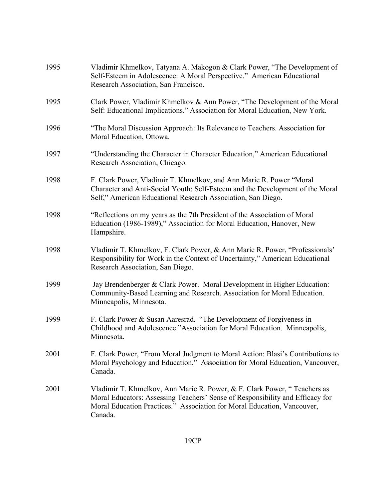| 1995 | Vladimir Khmelkov, Tatyana A. Makogon & Clark Power, "The Development of<br>Self-Esteem in Adolescence: A Moral Perspective." American Educational<br>Research Association, San Francisco.                                                      |
|------|-------------------------------------------------------------------------------------------------------------------------------------------------------------------------------------------------------------------------------------------------|
| 1995 | Clark Power, Vladimir Khmelkov & Ann Power, "The Development of the Moral<br>Self: Educational Implications." Association for Moral Education, New York.                                                                                        |
| 1996 | "The Moral Discussion Approach: Its Relevance to Teachers. Association for<br>Moral Education, Ottowa.                                                                                                                                          |
| 1997 | "Understanding the Character in Character Education," American Educational<br>Research Association, Chicago.                                                                                                                                    |
| 1998 | F. Clark Power, Vladimir T. Khmelkov, and Ann Marie R. Power "Moral<br>Character and Anti-Social Youth: Self-Esteem and the Development of the Moral<br>Self," American Educational Research Association, San Diego.                            |
| 1998 | "Reflections on my years as the 7th President of the Association of Moral<br>Education (1986-1989)," Association for Moral Education, Hanover, New<br>Hampshire.                                                                                |
| 1998 | Vladimir T. Khmelkov, F. Clark Power, & Ann Marie R. Power, "Professionals"<br>Responsibility for Work in the Context of Uncertainty," American Educational<br>Research Association, San Diego.                                                 |
| 1999 | Jay Brendenberger & Clark Power. Moral Development in Higher Education:<br>Community-Based Learning and Research. Association for Moral Education.<br>Minneapolis, Minnesota.                                                                   |
| 1999 | F. Clark Power & Susan Aaresrad. "The Development of Forgiveness in<br>Childhood and Adolescence."Association for Moral Education. Minneapolis,<br>Minnesota.                                                                                   |
| 2001 | F. Clark Power, "From Moral Judgment to Moral Action: Blasi's Contributions to<br>Moral Psychology and Education." Association for Moral Education, Vancouver,<br>Canada.                                                                       |
| 2001 | Vladimir T. Khmelkov, Ann Marie R. Power, & F. Clark Power, "Teachers as<br>Moral Educators: Assessing Teachers' Sense of Responsibility and Efficacy for<br>Moral Education Practices." Association for Moral Education, Vancouver,<br>Canada. |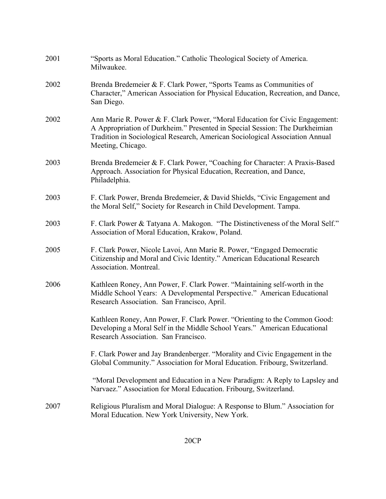| 2001 | "Sports as Moral Education." Catholic Theological Society of America.<br>Milwaukee.                                                                                                                                                                             |
|------|-----------------------------------------------------------------------------------------------------------------------------------------------------------------------------------------------------------------------------------------------------------------|
| 2002 | Brenda Bredemeier & F. Clark Power, "Sports Teams as Communities of<br>Character," American Association for Physical Education, Recreation, and Dance,<br>San Diego.                                                                                            |
| 2002 | Ann Marie R. Power & F. Clark Power, "Moral Education for Civic Engagement:<br>A Appropriation of Durkheim." Presented in Special Session: The Durkheimian<br>Tradition in Sociological Research, American Sociological Association Annual<br>Meeting, Chicago. |
| 2003 | Brenda Bredemeier & F. Clark Power, "Coaching for Character: A Praxis-Based<br>Approach. Association for Physical Education, Recreation, and Dance,<br>Philadelphia.                                                                                            |
| 2003 | F. Clark Power, Brenda Bredemeier, & David Shields, "Civic Engagement and<br>the Moral Self," Society for Research in Child Development. Tampa.                                                                                                                 |
| 2003 | F. Clark Power & Tatyana A. Makogon. "The Distinctiveness of the Moral Self."<br>Association of Moral Education, Krakow, Poland.                                                                                                                                |
| 2005 | F. Clark Power, Nicole Lavoi, Ann Marie R. Power, "Engaged Democratic<br>Citizenship and Moral and Civic Identity." American Educational Research<br>Association. Montreal.                                                                                     |
| 2006 | Kathleen Roney, Ann Power, F. Clark Power. "Maintaining self-worth in the<br>Middle School Years: A Developmental Perspective." American Educational<br>Research Association. San Francisco, April.                                                             |
|      | Kathleen Roney, Ann Power, F. Clark Power. "Orienting to the Common Good:<br>Developing a Moral Self in the Middle School Years." American Educational<br>Research Association. San Francisco.                                                                  |
|      | F. Clark Power and Jay Brandenberger. "Morality and Civic Engagement in the<br>Global Community." Association for Moral Education. Fribourg, Switzerland.                                                                                                       |
|      | "Moral Development and Education in a New Paradigm: A Reply to Lapsley and<br>Narvaez." Association for Moral Education. Fribourg, Switzerland.                                                                                                                 |
| 2007 | Religious Pluralism and Moral Dialogue: A Response to Blum." Association for<br>Moral Education. New York University, New York.                                                                                                                                 |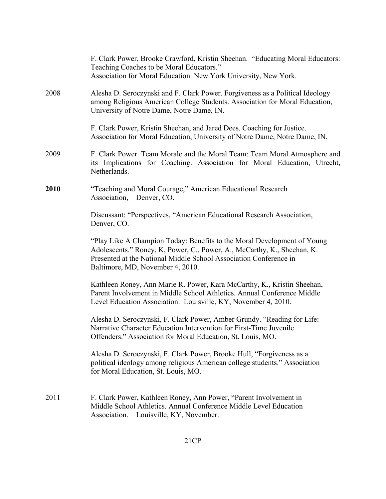|      | F. Clark Power, Brooke Crawford, Kristin Sheehan. "Educating Moral Educators:<br>Teaching Coaches to be Moral Educators."<br>Association for Moral Education. New York University, New York.                                                                |
|------|-------------------------------------------------------------------------------------------------------------------------------------------------------------------------------------------------------------------------------------------------------------|
| 2008 | Alesha D. Seroczynski and F. Clark Power. Forgiveness as a Political Ideology<br>among Religious American College Students. Association for Moral Education,<br>University of Notre Dame, Notre Dame, IN.                                                   |
|      | F. Clark Power, Kristin Sheehan, and Jared Dees. Coaching for Justice.<br>Association for Moral Education, University of Notre Dame, Notre Dame, IN.                                                                                                        |
| 2009 | F. Clark Power. Team Morale and the Moral Team: Team Moral Atmosphere and<br>its Implications for Coaching. Association for Moral Education, Utrecht,<br>Netherlands.                                                                                       |
| 2010 | "Teaching and Moral Courage," American Educational Research<br>Association, Denver, CO.                                                                                                                                                                     |
|      | Discussant: "Perspectives, "American Educational Research Association,<br>Denver, CO.                                                                                                                                                                       |
|      | "Play Like A Champion Today: Benefits to the Moral Development of Young<br>Adolescents." Roney, K, Power, C., Power, A., McCarthy, K., Sheehan, K.<br>Presented at the National Middle School Association Conference in<br>Baltimore, MD, November 4, 2010. |
|      | Kathleen Roney, Ann Marie R. Power, Kara McCarthy, K., Kristin Sheehan,<br>Parent Involvement in Middle School Athletics. Annual Conference Middle<br>Level Education Association. Louisville, KY, November 4, 2010.                                        |
|      | Alesha D. Seroczynski, F. Clark Power, Amber Grundy. "Reading for Life:<br>Narrative Character Education Intervention for First-Time Juvenile<br>Offenders." Association for Moral Education, St. Louis, MO.                                                |
|      | Alesha D. Seroczynski, F. Clark Power, Brooke Hull, "Forgiveness as a<br>political ideology among religious American college students." Association<br>for Moral Education, St. Louis, MO.                                                                  |
| 2011 | F. Clark Power, Kathleen Roney, Ann Power, "Parent Involvement in<br>Middle School Athletics. Annual Conference Middle Level Education<br>Louisville, KY, November.<br>Association.                                                                         |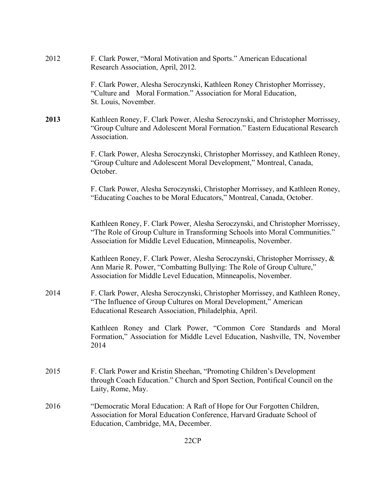| 2012 | F. Clark Power, "Moral Motivation and Sports." American Educational<br>Research Association, April, 2012.                                                                                                                       |
|------|---------------------------------------------------------------------------------------------------------------------------------------------------------------------------------------------------------------------------------|
|      | F. Clark Power, Alesha Seroczynski, Kathleen Roney Christopher Morrissey,<br>"Culture and Moral Formation." Association for Moral Education,<br>St. Louis, November.                                                            |
| 2013 | Kathleen Roney, F. Clark Power, Alesha Seroczynski, and Christopher Morrissey,<br>"Group Culture and Adolescent Moral Formation." Eastern Educational Research<br>Association.                                                  |
|      | F. Clark Power, Alesha Seroczynski, Christopher Morrissey, and Kathleen Roney,<br>"Group Culture and Adolescent Moral Development," Montreal, Canada,<br>October.                                                               |
|      | F. Clark Power, Alesha Seroczynski, Christopher Morrissey, and Kathleen Roney,<br>"Educating Coaches to be Moral Educators," Montreal, Canada, October.                                                                         |
|      | Kathleen Roney, F. Clark Power, Alesha Seroczynski, and Christopher Morrissey,<br>"The Role of Group Culture in Transforming Schools into Moral Communities."<br>Association for Middle Level Education, Minneapolis, November. |
|      | Kathleen Roney, F. Clark Power, Alesha Seroczynski, Christopher Morrissey, &<br>Ann Marie R. Power, "Combatting Bullying: The Role of Group Culture,"<br>Association for Middle Level Education, Minneapolis, November.         |
| 2014 | F. Clark Power, Alesha Seroczynski, Christopher Morrissey, and Kathleen Roney,<br>"The Influence of Group Cultures on Moral Development," American<br>Educational Research Association, Philadelphia, April.                    |
|      | Kathleen Roney and Clark Power, "Common Core Standards and Moral<br>Formation," Association for Middle Level Education, Nashville, TN, November<br>2014                                                                         |
| 2015 | F. Clark Power and Kristin Sheehan, "Promoting Children's Development<br>through Coach Education." Church and Sport Section, Pontifical Council on the<br>Laity, Rome, May.                                                     |
| 2016 | "Democratic Moral Education: A Raft of Hope for Our Forgotten Children,<br>Association for Moral Education Conference, Harvard Graduate School of<br>Education, Cambridge, MA, December.                                        |